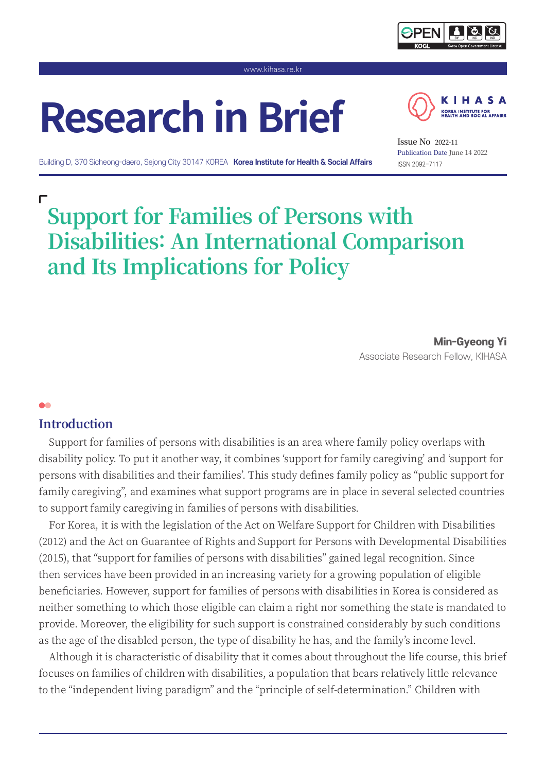

www.kihasa.re.kr

# **Research in Brief**



Building D, 370 Sicheong-daero, Sejong City 30147 KOREA **Korea Institute for Health & Social Affairs**

ISSN 2092-7117 **Issue No 2022-11** Publication Date **June 14 2022**

## г **Support for Families of Persons with Disabilities: An International Comparison and Its Implications for Policy**

Min-Gyeong Yi Associate Research Fellow, KIHASA

## **Introduction**

 $\bullet\bullet$ 

Support for families of persons with disabilities is an area where family policy overlaps with disability policy. To put it another way, it combines 'support for family caregiving' and 'support for persons with disabilities and their families'. This study defines family policy as "public support for family caregiving", and examines what support programs are in place in several selected countries to support family caregiving in families of persons with disabilities.

For Korea, it is with the legislation of the Act on Welfare Support for Children with Disabilities (2012) and the Act on Guarantee of Rights and Support for Persons with Developmental Disabilities (2015), that "support for families of persons with disabilities" gained legal recognition. Since then services have been provided in an increasing variety for a growing population of eligible beneficiaries. However, support for families of persons with disabilities in Korea is considered as neither something to which those eligible can claim a right nor something the state is mandated to provide. Moreover, the eligibility for such support is constrained considerably by such conditions as the age of the disabled person, the type of disability he has, and the family's income level.

Although it is characteristic of disability that it comes about throughout the life course, this brief focuses on families of children with disabilities, a population that bears relatively little relevance to the "independent living paradigm" and the "principle of self-determination." Children with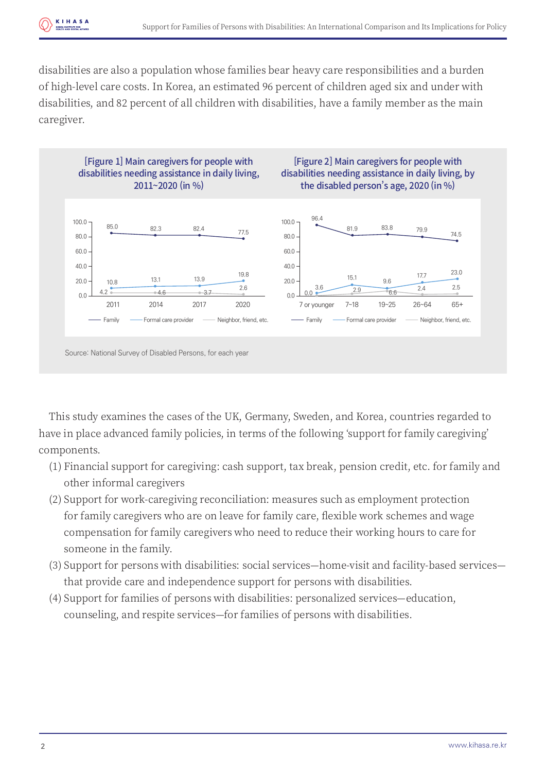disabilities are also a population whose families bear heavy care responsibilities and a burden of high-level care costs. In Korea, an estimated 96 percent of children aged six and under with disabilities, and 82 percent of all children with disabilities, have a family member as the main caregiver.



This study examines the cases of the UK, Germany, Sweden, and Korea, countries regarded to have in place advanced family policies, in terms of the following 'support for family caregiving' components.

- (1) Financial support for caregiving: cash support, tax break, pension credit, etc. for family and other informal caregivers
- (2) Support for work-caregiving reconciliation: measures such as employment protection for family caregivers who are on leave for family care, flexible work schemes and wage compensation for family caregivers who need to reduce their working hours to care for someone in the family.
- (3) Support for persons with disabilities: social services—home-visit and facility-based services that provide care and independence support for persons with disabilities.
- (4) Support for families of persons with disabilities: personalized services—education, counseling, and respite services—for families of persons with disabilities.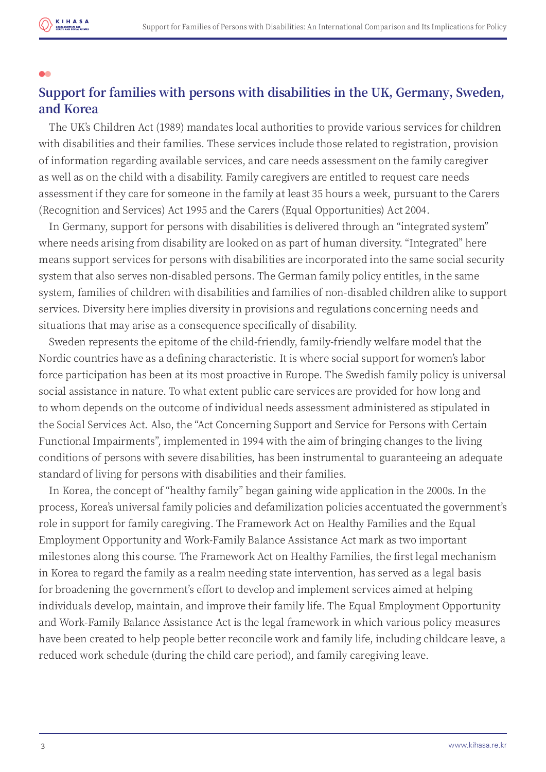

## 66 **Support for families with persons with disabilities in the UK, Germany, Sweden, and Korea**

The UK's Children Act (1989) mandates local authorities to provide various services for children with disabilities and their families. These services include those related to registration, provision of information regarding available services, and care needs assessment on the family caregiver as well as on the child with a disability. Family caregivers are entitled to request care needs assessment if they care for someone in the family at least 35 hours a week, pursuant to the Carers (Recognition and Services) Act 1995 and the Carers (Equal Opportunities) Act 2004.

In Germany, support for persons with disabilities is delivered through an "integrated system" where needs arising from disability are looked on as part of human diversity. "Integrated" here means support services for persons with disabilities are incorporated into the same social security system that also serves non-disabled persons. The German family policy entitles, in the same system, families of children with disabilities and families of non-disabled children alike to support services. Diversity here implies diversity in provisions and regulations concerning needs and situations that may arise as a consequence specifically of disability.

Sweden represents the epitome of the child-friendly, family-friendly welfare model that the Nordic countries have as a defining characteristic. It is where social support for women's labor force participation has been at its most proactive in Europe. The Swedish family policy is universal social assistance in nature. To what extent public care services are provided for how long and to whom depends on the outcome of individual needs assessment administered as stipulated in the Social Services Act. Also, the "Act Concerning Support and Service for Persons with Certain Functional Impairments", implemented in 1994 with the aim of bringing changes to the living conditions of persons with severe disabilities, has been instrumental to guaranteeing an adequate standard of living for persons with disabilities and their families.

In Korea, the concept of "healthy family" began gaining wide application in the 2000s. In the process, Korea's universal family policies and defamilization policies accentuated the government's role in support for family caregiving. The Framework Act on Healthy Families and the Equal Employment Opportunity and Work-Family Balance Assistance Act mark as two important milestones along this course. The Framework Act on Healthy Families, the first legal mechanism in Korea to regard the family as a realm needing state intervention, has served as a legal basis for broadening the government's effort to develop and implement services aimed at helping individuals develop, maintain, and improve their family life. The Equal Employment Opportunity and Work-Family Balance Assistance Act is the legal framework in which various policy measures have been created to help people better reconcile work and family life, including childcare leave, a reduced work schedule (during the child care period), and family caregiving leave.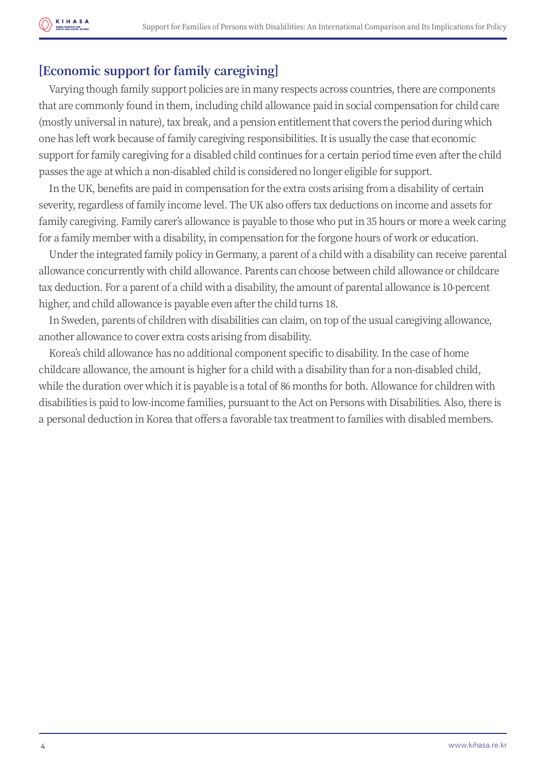## **[Economic support for family caregiving]**

Varying though family support policies are in many respects across countries, there are components that are commonly found in them, including child allowance paid in social compensation for child care (mostly universal in nature), tax break, and a pension entitlement that covers the period during which one has left work because of family caregiving responsibilities. It is usually the case that economic support for family caregiving for a disabled child continues for a certain period time even after the child passes the age at which a non-disabled child is considered no longer eligible for support.

In the UK, benefits are paid in compensation for the extra costs arising from a disability of certain severity, regardless of family income level. The UK also offers tax deductions on income and assets for family caregiving. Family carer's allowance is payable to those who put in 35 hours or more a week caring for a family member with a disability, in compensation for the forgone hours of work or education.

Under the integrated family policy in Germany, a parent of a child with a disability can receive parental allowance concurrently with child allowance. Parents can choose between child allowance or childcare tax deduction. For a parent of a child with a disability, the amount of parental allowance is 10-percent higher, and child allowance is payable even after the child turns 18.

In Sweden, parents of children with disabilities can claim, on top of the usual caregiving allowance, another allowance to cover extra costs arising from disability.

Korea's child allowance has no additional component specific to disability. In the case of home childcare allowance, the amount is higher for a child with a disability than for a non-disabled child, while the duration over which it is payable is a total of 86 months for both. Allowance for children with disabilities is paid to low-income families, pursuant to the Act on Persons with Disabilities. Also, there is a personal deduction in Korea that offers a favorable tax treatment to families with disabled members.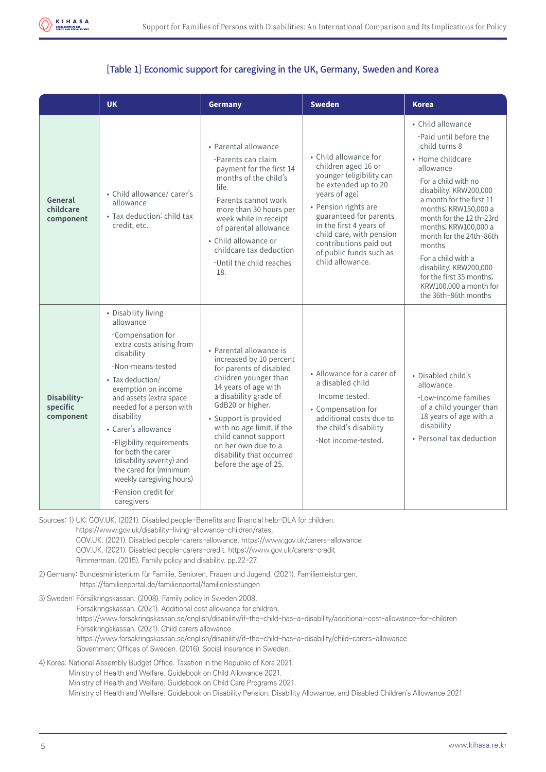

#### [Table 1] Economic support for caregiving in the UK, Germany, Sweden and Korea

|                                      | <b>UK</b>                                                                                                                                                                                                                                                                                                                                                                                                                              | Germany                                                                                                                                                                                                                                                                                                                               | <b>Sweden</b>                                                                                                                                                                                                                                                                                       | <b>Korea</b>                                                                                                                                                                                                                                                                                                                                                                                                                |
|--------------------------------------|----------------------------------------------------------------------------------------------------------------------------------------------------------------------------------------------------------------------------------------------------------------------------------------------------------------------------------------------------------------------------------------------------------------------------------------|---------------------------------------------------------------------------------------------------------------------------------------------------------------------------------------------------------------------------------------------------------------------------------------------------------------------------------------|-----------------------------------------------------------------------------------------------------------------------------------------------------------------------------------------------------------------------------------------------------------------------------------------------------|-----------------------------------------------------------------------------------------------------------------------------------------------------------------------------------------------------------------------------------------------------------------------------------------------------------------------------------------------------------------------------------------------------------------------------|
| General<br>childcare<br>component    | • Child allowance/ carer's<br>allowance<br>• Tax deduction: child tax<br>credit, etc.                                                                                                                                                                                                                                                                                                                                                  | • Parental allowance<br>-Parents can claim<br>payment for the first 14<br>months of the child's<br>life.<br>-Parents cannot work<br>more than 30 hours per<br>week while in receipt<br>of parental allowance<br>• Child allowance or<br>childcare tax deduction<br>-Until the child reaches<br>18.                                    | • Child allowance for<br>children aged 16 or<br>younger (eligibility can<br>be extended up to 20<br>years of age)<br>• Pension rights are<br>guaranteed for parents<br>in the first 4 years of<br>child care, with pension<br>contributions paid out<br>of public funds such as<br>child allowance. | • Child allowance<br>-Paid until before the<br>child turns 8<br>• Home childcare<br>allowance<br>-For a child with no<br>disability: KRW200,000<br>a month for the first 11<br>months; KRW150,000 a<br>month for the 12 th~23rd<br>months; KRW100,000 a<br>month for the 24th~86th<br>months<br>-For a child with a<br>disability: KRW200,000<br>for the first 35 months;<br>KRW100,000 a month for<br>the 36th~86th months |
| Disability-<br>specific<br>component | • Disability living<br>allowance<br>-Compensation for<br>extra costs arising from<br>disability<br>-Non-means-tested<br>• Tax deduction/<br>exemption on income<br>and assets (extra space<br>needed for a person with<br>disability<br>• Carer's allowance<br>-Eligibility requirements<br>for both the carer<br>(disability severity) and<br>the cared for (minimum<br>weekly caregiving hours)<br>-Pension credit for<br>caregivers | • Parental allowance is<br>increased by 10 percent<br>for parents of disabled<br>children younger than<br>14 years of age with<br>a disability grade of<br>GdB20 or higher.<br>· Support is provided<br>with no age limit, if the<br>child cannot support<br>on her own due to a<br>disability that occurred<br>before the age of 25. | • Allowance for a carer of<br>a disabled child<br>-Income-tested.<br>• Compensation for<br>additional costs due to<br>the child's disability<br>-Not income-tested.                                                                                                                                 | • Disabled child's<br>allowance<br>-Low-income families<br>of a child younger than<br>18 years of age with a<br>disability<br>• Personal tax deduction                                                                                                                                                                                                                                                                      |

Sources: 1) UK: GOV.UK. (2021). Disabled people-Benefits and financial help-DLA for children.

 https://www.gov.uk/disability-living-allowance-children/rates. GOV.UK. (2021). Disabled people-carers-allowance. https://www.gov.uk/carers-allowance GOV.UK. (2021). Disabled people-carers-credit. https://www.gov.uk/carers-credit Rimmerman. (2015). Family policy and disability. pp.22-27.

- 2) Germany: Bundesministerium für Familie, Senioren, Frauen und Jugend. (2021). Familienleistungen. https://familienportal.de/familienportal/familienleistungen
- 3) Sweden: Försäkringskassan. (2008). Family policy in Sweden 2008. Försäkringskassan. (2021). Additional cost allowance for children. https://www.forsakringskassan.se/english/disability/if-the-child-has-a-disability/additional-cost-allowance-for-children Försäkringskassan. (2021). Child carers allowance. https://www.forsakringskassan.se/english/disability/if-the-child-has-a-disability/child-carers-allowance Government Offices of Sweden. (2016). Social Insurance in Sweden.
- 4) Korea: National Assembly Budget Office. Taxation in the Republic of Kora 2021. Ministry of Health and Welfare. Guidebook on Child Allowance 2021. Ministry of Health and Welfare. Guidebook on Child Care Programs 2021.

Ministry of Health and Welfare. Guidebook on Disability Pension, Disability Allowance, and Disabled Children's Allowance 2021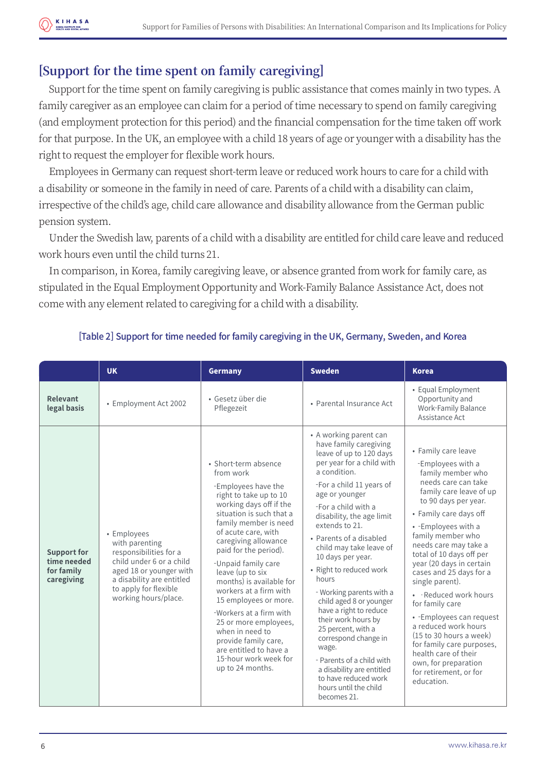## **[Support for the time spent on family caregiving]**

Support for the time spent on family caregiving is public assistance that comes mainly in two types. A family caregiver as an employee can claim for a period of time necessary to spend on family caregiving (and employment protection for this period) and the financial compensation for the time taken off work for that purpose. In the UK, an employee with a child 18 years of age or younger with a disability has the right to request the employer for flexible work hours.

Employees in Germany can request short-term leave or reduced work hours to care for a child with a disability or someone in the family in need of care. Parents of a child with a disability can claim, irrespective of the child's age, child care allowance and disability allowance from the German public pension system.

Under the Swedish law, parents of a child with a disability are entitled for child care leave and reduced work hours even until the child turns 21.

In comparison, in Korea, family caregiving leave, or absence granted from work for family care, as stipulated in the Equal Employment Opportunity and Work-Family Balance Assistance Act, does not come with any element related to caregiving for a child with a disability.

|                                                               | <b>UK</b>                                                                                                                                                                                    | Germany                                                                                                                                                                                                                                                                                                                                                                                                                                                                                                                                    | <b>Sweden</b>                                                                                                                                                                                                                                                                                                                                                                                                                                                                                                                                                                                                                                        | <b>Korea</b>                                                                                                                                                                                                                                                                                                                                                                                                                                                                                                                                                                                                     |
|---------------------------------------------------------------|----------------------------------------------------------------------------------------------------------------------------------------------------------------------------------------------|--------------------------------------------------------------------------------------------------------------------------------------------------------------------------------------------------------------------------------------------------------------------------------------------------------------------------------------------------------------------------------------------------------------------------------------------------------------------------------------------------------------------------------------------|------------------------------------------------------------------------------------------------------------------------------------------------------------------------------------------------------------------------------------------------------------------------------------------------------------------------------------------------------------------------------------------------------------------------------------------------------------------------------------------------------------------------------------------------------------------------------------------------------------------------------------------------------|------------------------------------------------------------------------------------------------------------------------------------------------------------------------------------------------------------------------------------------------------------------------------------------------------------------------------------------------------------------------------------------------------------------------------------------------------------------------------------------------------------------------------------------------------------------------------------------------------------------|
| Relevant<br>legal basis                                       | • Employment Act 2002                                                                                                                                                                        | • Gesetz über die<br>Pflegezeit                                                                                                                                                                                                                                                                                                                                                                                                                                                                                                            | • Parental Insurance Act                                                                                                                                                                                                                                                                                                                                                                                                                                                                                                                                                                                                                             | • Equal Employment<br>Opportunity and<br>Work-Family Balance<br>Assistance Act                                                                                                                                                                                                                                                                                                                                                                                                                                                                                                                                   |
| <b>Support for</b><br>time needed<br>for family<br>caregiving | • Employees<br>with parenting<br>responsibilities for a<br>child under 6 or a child<br>aged 18 or younger with<br>a disability are entitled<br>to apply for flexible<br>working hours/place. | • Short-term absence<br>from work<br>-Employees have the<br>right to take up to 10<br>working days off if the<br>situation is such that a<br>family member is need<br>of acute care, with<br>caregiving allowance<br>paid for the period).<br>-Unpaid family care<br>leave (up to six<br>months) is available for<br>workers at a firm with<br>15 employees or more.<br>-Workers at a firm with<br>25 or more employees,<br>when in need to<br>provide family care,<br>are entitled to have a<br>15-hour work week for<br>up to 24 months. | • A working parent can<br>have family caregiving<br>leave of up to 120 days<br>per year for a child with<br>a condition.<br>-For a child 11 years of<br>age or younger<br>-For a child with a<br>disability, the age limit<br>extends to 21.<br>• Parents of a disabled<br>child may take leave of<br>10 days per year.<br>• Right to reduced work<br>hours<br>- Working parents with a<br>child aged 8 or younger<br>have a right to reduce<br>their work hours by<br>25 percent, with a<br>correspond change in<br>wage.<br>- Parents of a child with<br>a disability are entitled<br>to have reduced work<br>hours until the child<br>becomes 21. | • Family care leave<br>-Employees with a<br>family member who<br>needs care can take<br>family care leave of up<br>to 90 days per year.<br>• Family care days off<br>• - Employees with a<br>family member who<br>needs care may take a<br>total of 10 days off per<br>year (20 days in certain<br>cases and 25 days for a<br>single parent).<br>• Reduced work hours<br>for family care<br>• - Employees can request<br>a reduced work hours<br>$(15 \text{ to } 30 \text{ hours a week})$<br>for family care purposes,<br>health care of their<br>own, for preparation<br>for retirement, or for<br>education. |

#### [Table 2] Support for time needed for family caregiving in the UK, Germany, Sweden, and Korea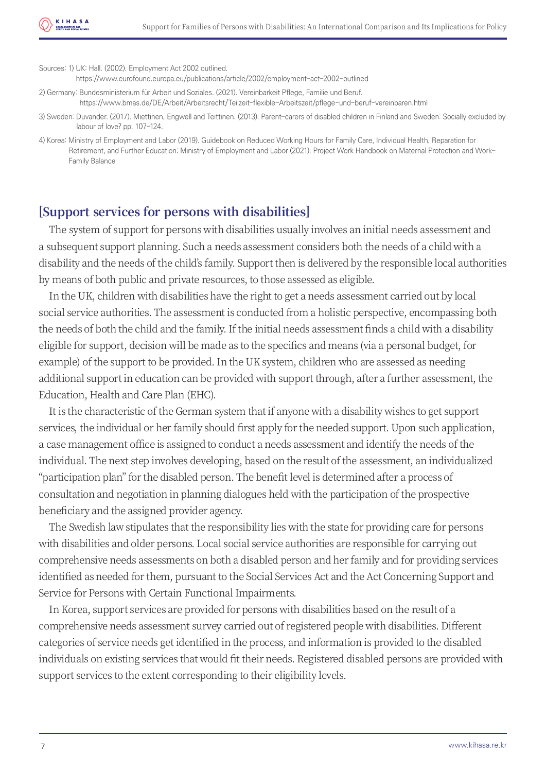Sources: 1) UK: Hall. (2002). Employment Act 2002 outlined.

https://www.eurofound.europa.eu/publications/article/2002/employment-act-2002-outlined

2) Germany: Bundesministerium für Arbeit und Soziales. (2021). Vereinbarkeit Pflege, Familie und Beruf. https://www.bmas.de/DE/Arbeit/Arbeitsrecht/Teilzeit-flexible-Arbeitszeit/pflege-und-beruf-vereinbaren.html

3) Sweden: Duvander. (2017). Miettinen, Engwell and Teittinen. (2013). Parent-carers of disabled children in Finland and Sweden: Socially excluded by labour of love? pp. 107-124.

4) Korea: Ministry of Employment and Labor (2019). Guidebook on Reduced Working Hours for Family Care, Individual Health, Reparation for Retirement, and Further Education; Ministry of Employment and Labor (2021). Project Work Handbook on Maternal Protection and Work- Family Balance

#### **[Support services for persons with disabilities]**

The system of support for persons with disabilities usually involves an initial needs assessment and a subsequent support planning. Such a needs assessment considers both the needs of a child with a disability and the needs of the child's family. Support then is delivered by the responsible local authorities by means of both public and private resources, to those assessed as eligible.

In the UK, children with disabilities have the right to get a needs assessment carried out by local social service authorities. The assessment is conducted from a holistic perspective, encompassing both the needs of both the child and the family. If the initial needs assessment finds a child with a disability eligible for support, decision will be made as to the specifics and means (via a personal budget, for example) of the support to be provided. In the UK system, children who are assessed as needing additional support in education can be provided with support through, after a further assessment, the Education, Health and Care Plan (EHC).

It is the characteristic of the German system that if anyone with a disability wishes to get support services, the individual or her family should first apply for the needed support. Upon such application, a case management office is assigned to conduct a needs assessment and identify the needs of the individual. The next step involves developing, based on the result of the assessment, an individualized "participation plan" for the disabled person. The benefit level is determined after a process of consultation and negotiation in planning dialogues held with the participation of the prospective beneficiary and the assigned provider agency.

The Swedish law stipulates that the responsibility lies with the state for providing care for persons with disabilities and older persons. Local social service authorities are responsible for carrying out comprehensive needs assessments on both a disabled person and her family and for providing services identified as needed for them, pursuant to the Social Services Act and the Act Concerning Support and Service for Persons with Certain Functional Impairments.

In Korea, support services are provided for persons with disabilities based on the result of a comprehensive needs assessment survey carried out of registered people with disabilities. Different categories of service needs get identified in the process, and information is provided to the disabled individuals on existing services that would fit their needs. Registered disabled persons are provided with support services to the extent corresponding to their eligibility levels.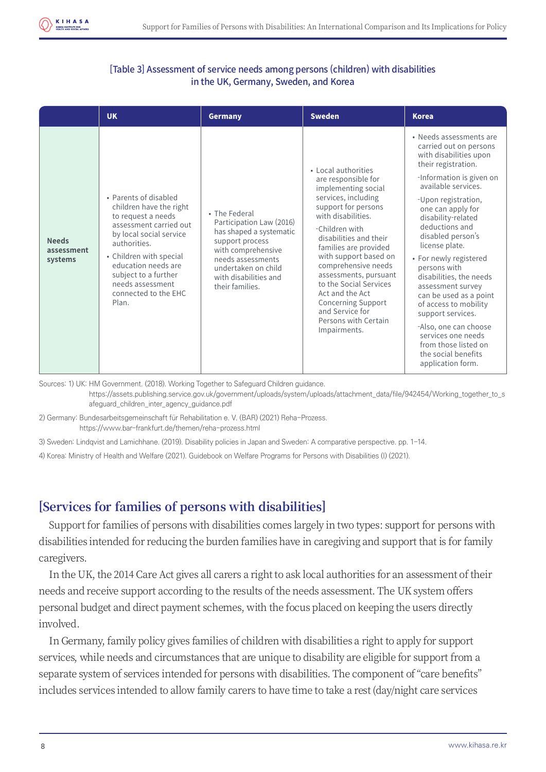

#### [Table 3] Assessment of service needs among persons (children) with disabilities in the UK, Germany, Sweden, and Korea

|                                       | <b>UK</b>                                                                                                                                                                                                                                                                  | Germany                                                                                                                                                                                               | <b>Sweden</b>                                                                                                                                                                                                                                                                                                                                                                                                            | <b>Korea</b>                                                                                                                                                                                                                                                                                                                                                                                                                                                                                                                                                          |
|---------------------------------------|----------------------------------------------------------------------------------------------------------------------------------------------------------------------------------------------------------------------------------------------------------------------------|-------------------------------------------------------------------------------------------------------------------------------------------------------------------------------------------------------|--------------------------------------------------------------------------------------------------------------------------------------------------------------------------------------------------------------------------------------------------------------------------------------------------------------------------------------------------------------------------------------------------------------------------|-----------------------------------------------------------------------------------------------------------------------------------------------------------------------------------------------------------------------------------------------------------------------------------------------------------------------------------------------------------------------------------------------------------------------------------------------------------------------------------------------------------------------------------------------------------------------|
| <b>Needs</b><br>assessment<br>systems | • Parents of disabled<br>children have the right<br>to request a needs<br>assessment carried out<br>by local social service<br>authorities.<br>• Children with special<br>education needs are<br>subject to a further<br>needs assessment<br>connected to the EHC<br>Plan. | • The Federal<br>Participation Law (2016)<br>has shaped a systematic<br>support process<br>with comprehensive<br>needs assessments<br>undertaken on child<br>with disabilities and<br>their families. | • Local authorities<br>are responsible for<br>implementing social<br>services, including<br>support for persons<br>with disabilities.<br>-Children with<br>disabilities and their<br>families are provided<br>with support based on<br>comprehensive needs<br>assessments, pursuant<br>to the Social Services<br>Act and the Act<br><b>Concerning Support</b><br>and Service for<br>Persons with Certain<br>Impairments. | • Needs assessments are<br>carried out on persons<br>with disabilities upon<br>their registration.<br>-Information is given on<br>available services.<br>-Upon registration,<br>one can apply for<br>disability-related<br>deductions and<br>disabled person's<br>license plate.<br>• For newly registered<br>persons with<br>disabilities, the needs<br>assessment survey<br>can be used as a point<br>of access to mobility<br>support services.<br>-Also, one can choose<br>services one needs<br>from those listed on<br>the social benefits<br>application form. |

Sources: 1) UK: HM Government. (2018). Working Together to Safeguard Children guidance.

 https://assets.publishing.service.gov.uk/government/uploads/system/uploads/attachment\_data/file/942454/Working\_together\_to\_s afeguard\_children\_inter\_agency\_guidance.pdf

2) Germany: Bundesarbeitsgemeinschaft für Rehabilitation e. V. (BAR) (2021) Reha-Prozess. https://www.bar-frankfurt.de/themen/reha-prozess.html

3) Sweden: Lindqvist and Lamichhane. (2019). Disability policies in Japan and Sweden: A comparative perspective. pp. 1-14.

4) Korea: Ministry of Health and Welfare (2021). Guidebook on Welfare Programs for Persons with Disabilities (I) (2021).

### **[Services for families of persons with disabilities]**

Support for families of persons with disabilities comes largely in two types: support for persons with disabilities intended for reducing the burden families have in caregiving and support that is for family caregivers.

In the UK, the 2014 Care Act gives all carers a right to ask local authorities for an assessment of their needs and receive support according to the results of the needs assessment. The UK system offers personal budget and direct payment schemes, with the focus placed on keeping the users directly involved.

In Germany, family policy gives families of children with disabilities a right to apply for support services, while needs and circumstances that are unique to disability are eligible for support from a separate system of services intended for persons with disabilities. The component of "care benefits" includes services intended to allow family carers to have time to take a rest (day/night care services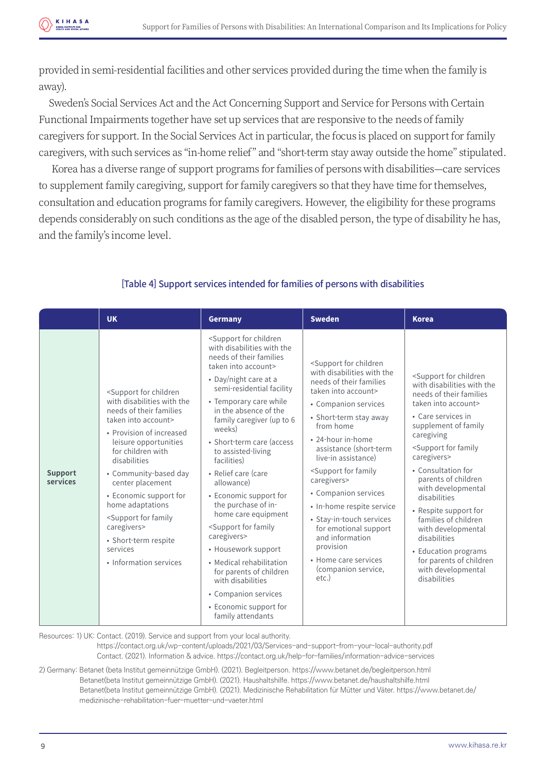provided in semi-residential facilities and other services provided during the time when the family is away).

Sweden's Social Services Act and the Act Concerning Support and Service for Persons with Certain Functional Impairments together have set up services that are responsive to the needs of family caregivers for support. In the Social Services Act in particular, the focus is placed on support for family caregivers, with such services as "in-home relief" and "short-term stay away outside the home" stipulated.

 Korea has a diverse range of support programs for families of persons with disabilities—care services to supplement family caregiving, support for family caregivers so that they have time for themselves, consultation and education programs for family caregivers. However, the eligibility for these programs depends considerably on such conditions as the age of the disabled person, the type of disability he has, and the family's income level.

|                            | <b>UK</b>                                                                                                                                                                                                                                                                                                                                                                                                                                          | <b>Germany</b>                                                                                                                                                                                                                                                                                                                                                                                                                                                                                                                                                                                                                                                                                                     | <b>Sweden</b>                                                                                                                                                                                                                                                                                                                                                                                                                                                                                                                                           | <b>Korea</b>                                                                                                                                                                                                                                                                                                                                                                                                                                                                                                                       |
|----------------------------|----------------------------------------------------------------------------------------------------------------------------------------------------------------------------------------------------------------------------------------------------------------------------------------------------------------------------------------------------------------------------------------------------------------------------------------------------|--------------------------------------------------------------------------------------------------------------------------------------------------------------------------------------------------------------------------------------------------------------------------------------------------------------------------------------------------------------------------------------------------------------------------------------------------------------------------------------------------------------------------------------------------------------------------------------------------------------------------------------------------------------------------------------------------------------------|---------------------------------------------------------------------------------------------------------------------------------------------------------------------------------------------------------------------------------------------------------------------------------------------------------------------------------------------------------------------------------------------------------------------------------------------------------------------------------------------------------------------------------------------------------|------------------------------------------------------------------------------------------------------------------------------------------------------------------------------------------------------------------------------------------------------------------------------------------------------------------------------------------------------------------------------------------------------------------------------------------------------------------------------------------------------------------------------------|
| <b>Support</b><br>services | <support children<br="" for="">with disabilities with the<br/>needs of their families<br/>taken into account&gt;<br/>• Provision of increased<br/>leisure opportunities<br/>for children with<br/>disabilities<br/>• Community-based day<br/>center placement<br/>• Economic support for<br/>home adaptations<br/><support family<br="" for="">caregivers&gt;<br/>• Short-term respite<br/>services<br/>• Information services</support></support> | <support children<br="" for="">with disabilities with the<br/>needs of their families<br/>taken into account&gt;<br/>• Day/night care at a<br/>semi-residential facility<br/>• Temporary care while<br/>in the absence of the<br/>family caregiver (up to 6<br/>weeks)<br/>• Short-term care (access<br/>to assisted-living<br/>facilities)<br/>• Relief care (care<br/>allowance)<br/>• Economic support for<br/>the purchase of in-<br/>home care equipment<br/><support family<br="" for="">caregivers&gt;<br/>• Housework support<br/>• Medical rehabilitation<br/>for parents of children<br/>with disabilities<br/>• Companion services<br/>• Economic support for<br/>family attendants</support></support> | <support children<br="" for="">with disabilities with the<br/>needs of their families<br/>taken into account&gt;<br/>• Companion services<br/>• Short-term stay away<br/>from home<br/>• 24-hour in-home<br/>assistance (short-term<br/>live-in assistance)<br/><support family<br="" for="">caregivers&gt;<br/>• Companion services<br/>• In-home respite service<br/>• Stay-in-touch services<br/>for emotional support<br/>and information<br/>provision<br/>• Home care services<br/>(companion service,<br/><math>etc.</math>)</support></support> | <support children<br="" for="">with disabilities with the<br/>needs of their families<br/>taken into account&gt;<br/>• Care services in<br/>supplement of family<br/>caregiving<br/><support family<br="" for="">caregivers&gt;<br/>• Consultation for<br/>parents of children<br/>with developmental<br/>disabilities<br/>• Respite support for<br/>families of children<br/>with developmental<br/>disabilities<br/>• Education programs<br/>for parents of children<br/>with developmental<br/>disabilities</support></support> |

#### [Table 4] Support services intended for families of persons with disabilities

Resources: 1) UK: Contact. (2019). Service and support from your local authority.

 https://contact.org.uk/wp-content/uploads/2021/03/Services-and-support-from-your-local-authority.pdf Contact. (2021). Information & advice. https://contact.org.uk/help-for-families/information-advice-services

2) Germany: Betanet (beta Institut gemeinnützige GmbH). (2021). Begleitperson. https://www.betanet.de/begleitperson.html Betanet(beta Institut gemeinnützige GmbH). (2021). Haushaltshilfe. https://www.betanet.de/haushaltshilfe.html Betanet(beta Institut gemeinnützige GmbH). (2021). Medizinische Rehabilitation für Mütter und Väter. https://www.betanet.de/ medizinische-rehabilitation-fuer-muetter-und-vaeter.html